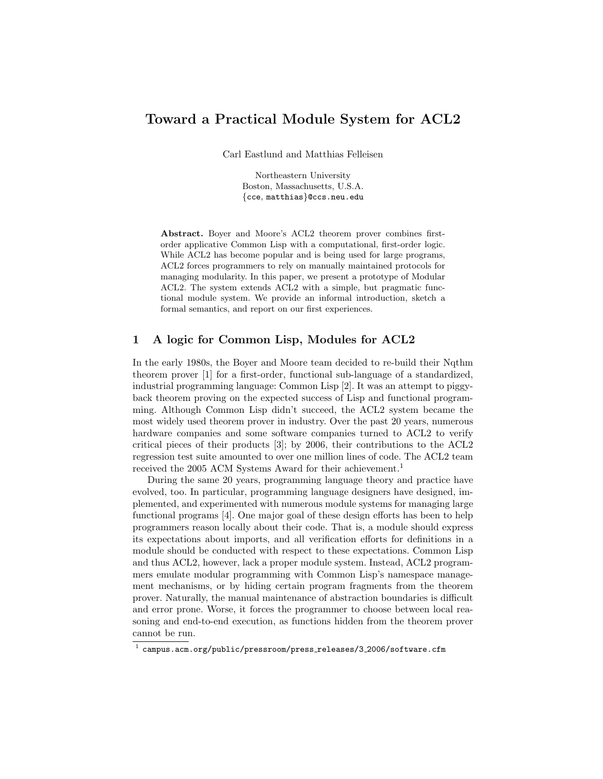# Toward a Practical Module System for ACL2

Carl Eastlund and Matthias Felleisen

Northeastern University Boston, Massachusetts, U.S.A. {cce, matthias}@ccs.neu.edu

Abstract. Boyer and Moore's ACL2 theorem prover combines firstorder applicative Common Lisp with a computational, first-order logic. While ACL2 has become popular and is being used for large programs, ACL2 forces programmers to rely on manually maintained protocols for managing modularity. In this paper, we present a prototype of Modular ACL2. The system extends ACL2 with a simple, but pragmatic functional module system. We provide an informal introduction, sketch a formal semantics, and report on our first experiences.

## 1 A logic for Common Lisp, Modules for ACL2

In the early 1980s, the Boyer and Moore team decided to re-build their Nqthm theorem prover [1] for a first-order, functional sub-language of a standardized, industrial programming language: Common Lisp [2]. It was an attempt to piggyback theorem proving on the expected success of Lisp and functional programming. Although Common Lisp didn't succeed, the ACL2 system became the most widely used theorem prover in industry. Over the past 20 years, numerous hardware companies and some software companies turned to ACL2 to verify critical pieces of their products [3]; by 2006, their contributions to the ACL2 regression test suite amounted to over one million lines of code. The ACL2 team received the 2005 ACM Systems Award for their achievement.<sup>1</sup>

During the same 20 years, programming language theory and practice have evolved, too. In particular, programming language designers have designed, implemented, and experimented with numerous module systems for managing large functional programs [4]. One major goal of these design efforts has been to help programmers reason locally about their code. That is, a module should express its expectations about imports, and all verification efforts for definitions in a module should be conducted with respect to these expectations. Common Lisp and thus ACL2, however, lack a proper module system. Instead, ACL2 programmers emulate modular programming with Common Lisp's namespace management mechanisms, or by hiding certain program fragments from the theorem prover. Naturally, the manual maintenance of abstraction boundaries is difficult and error prone. Worse, it forces the programmer to choose between local reasoning and end-to-end execution, as functions hidden from the theorem prover cannot be run.

 $^{\rm 1}$  campus.acm.org/public/pressroom/press\_releases/3\_2006/software.cfm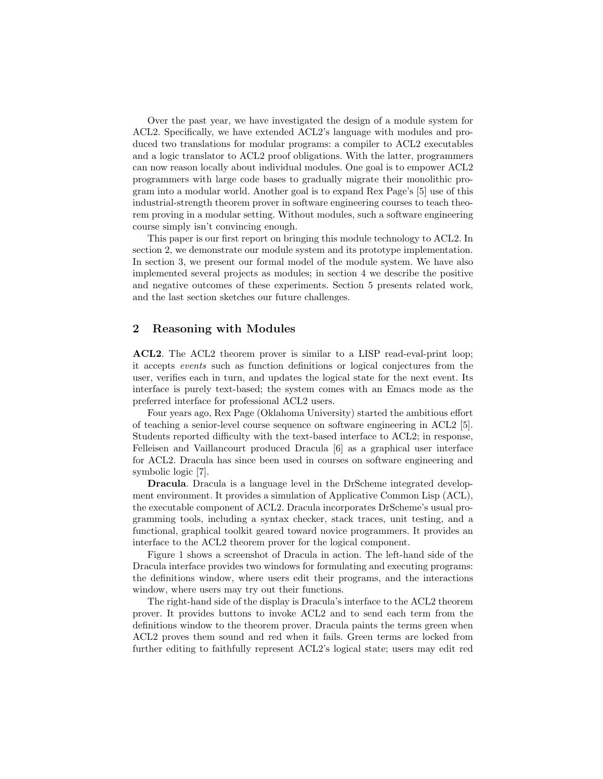Over the past year, we have investigated the design of a module system for ACL2. Specifically, we have extended ACL2's language with modules and produced two translations for modular programs: a compiler to ACL2 executables and a logic translator to ACL2 proof obligations. With the latter, programmers can now reason locally about individual modules. One goal is to empower ACL2 programmers with large code bases to gradually migrate their monolithic program into a modular world. Another goal is to expand Rex Page's [5] use of this industrial-strength theorem prover in software engineering courses to teach theorem proving in a modular setting. Without modules, such a software engineering course simply isn't convincing enough.

This paper is our first report on bringing this module technology to ACL2. In section 2, we demonstrate our module system and its prototype implementation. In section 3, we present our formal model of the module system. We have also implemented several projects as modules; in section 4 we describe the positive and negative outcomes of these experiments. Section 5 presents related work, and the last section sketches our future challenges.

#### 2 Reasoning with Modules

ACL2. The ACL2 theorem prover is similar to a LISP read-eval-print loop; it accepts events such as function definitions or logical conjectures from the user, verifies each in turn, and updates the logical state for the next event. Its interface is purely text-based; the system comes with an Emacs mode as the preferred interface for professional ACL2 users.

Four years ago, Rex Page (Oklahoma University) started the ambitious effort of teaching a senior-level course sequence on software engineering in ACL2 [5]. Students reported difficulty with the text-based interface to ACL2; in response, Felleisen and Vaillancourt produced Dracula [6] as a graphical user interface for ACL2. Dracula has since been used in courses on software engineering and symbolic logic [7].

Dracula. Dracula is a language level in the DrScheme integrated development environment. It provides a simulation of Applicative Common Lisp (ACL), the executable component of ACL2. Dracula incorporates DrScheme's usual programming tools, including a syntax checker, stack traces, unit testing, and a functional, graphical toolkit geared toward novice programmers. It provides an interface to the ACL2 theorem prover for the logical component.

Figure 1 shows a screenshot of Dracula in action. The left-hand side of the Dracula interface provides two windows for formulating and executing programs: the definitions window, where users edit their programs, and the interactions window, where users may try out their functions.

The right-hand side of the display is Dracula's interface to the ACL2 theorem prover. It provides buttons to invoke ACL2 and to send each term from the definitions window to the theorem prover. Dracula paints the terms green when ACL2 proves them sound and red when it fails. Green terms are locked from further editing to faithfully represent ACL2's logical state; users may edit red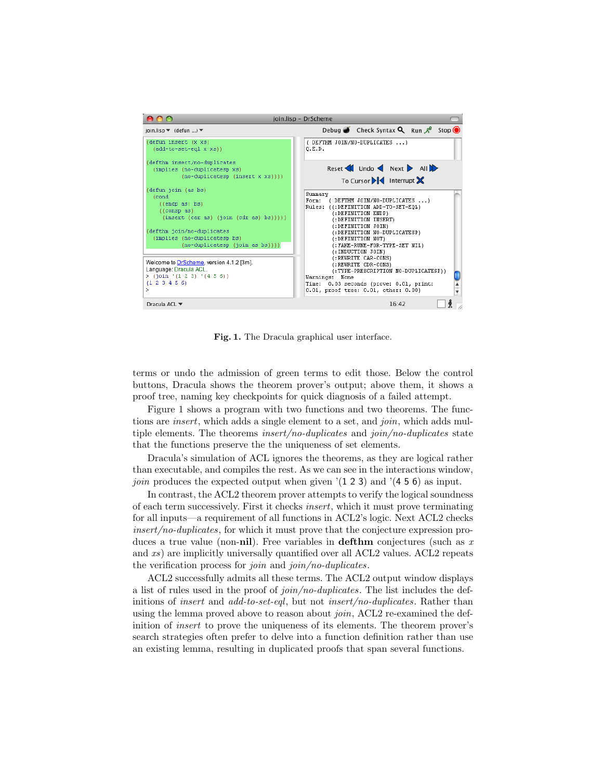

Fig. 1. The Dracula graphical user interface.

terms or undo the admission of green terms to edit those. Below the control buttons, Dracula shows the theorem prover's output; above them, it shows a proof tree, naming key checkpoints for quick diagnosis of a failed attempt.

Figure 1 shows a program with two functions and two theorems. The functions are *insert*, which adds a single element to a set, and *join*, which adds multiple elements. The theorems insert/no-duplicates and join/no-duplicates state that the functions preserve the the uniqueness of set elements.

Dracula's simulation of ACL ignores the theorems, as they are logical rather than executable, and compiles the rest. As we can see in the interactions window, *join* produces the expected output when given  $(1 2 3)$  and  $(4 5 6)$  as input.

In contrast, the ACL2 theorem prover attempts to verify the logical soundness of each term successively. First it checks insert, which it must prove terminating for all inputs—a requirement of all functions in ACL2's logic. Next ACL2 checks insert/no-duplicates, for which it must prove that the conjecture expression produces a true value (non-nil). Free variables in defthm conjectures (such as  $x$ and xs) are implicitly universally quantified over all ACL2 values. ACL2 repeats the verification process for join and join/no-duplicates.

ACL2 successfully admits all these terms. The ACL2 output window displays a list of rules used in the proof of join/no-duplicates. The list includes the definitions of insert and add-to-set-eql, but not insert/no-duplicates. Rather than using the lemma proved above to reason about *join*, ACL2 re-examined the definition of insert to prove the uniqueness of its elements. The theorem prover's search strategies often prefer to delve into a function definition rather than use an existing lemma, resulting in duplicated proofs that span several functions.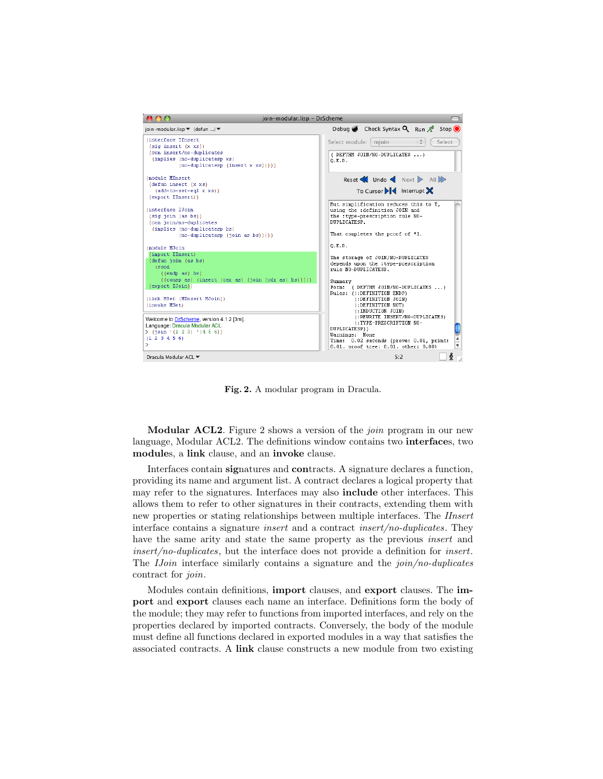

Fig. 2. A modular program in Dracula.

**Modular ACL2.** Figure 2 shows a version of the *join* program in our new language, Modular ACL2. The definitions window contains two interfaces, two modules, a link clause, and an invoke clause.

Interfaces contain signatures and contracts. A signature declares a function, providing its name and argument list. A contract declares a logical property that may refer to the signatures. Interfaces may also include other interfaces. This allows them to refer to other signatures in their contracts, extending them with new properties or stating relationships between multiple interfaces. The *IInsert* interface contains a signature insert and a contract insert/no-duplicates. They have the same arity and state the same property as the previous insert and insert/no-duplicates, but the interface does not provide a definition for insert. The IJoin interface similarly contains a signature and the  $join/no-duplicates$ contract for join.

Modules contain definitions, import clauses, and export clauses. The import and export clauses each name an interface. Definitions form the body of the module; they may refer to functions from imported interfaces, and rely on the properties declared by imported contracts. Conversely, the body of the module must define all functions declared in exported modules in a way that satisfies the associated contracts. A link clause constructs a new module from two existing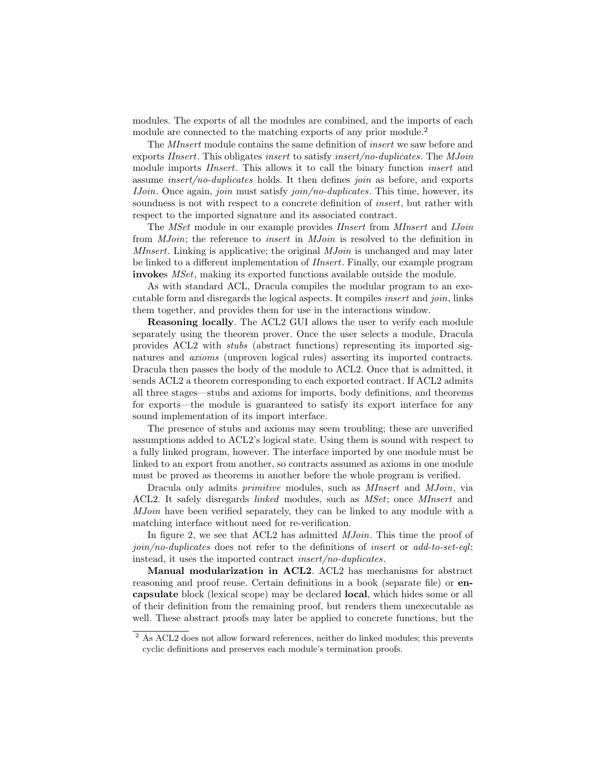modules. The exports of all the modules are combined, and the imports of each module are connected to the matching exports of any prior module.<sup>2</sup>

The MInsert module contains the same definition of insert we saw before and exports IInsert. This obligates insert to satisfy insert/no-duplicates. The MJoin module imports *IInsert*. This allows it to call the binary function *insert* and assume insert/no-duplicates holds. It then defines join as before, and exports *IJoin.* Once again, join must satisfy join/no-duplicates. This time, however, its soundness is not with respect to a concrete definition of *insert*, but rather with respect to the imported signature and its associated contract.

The MSet module in our example provides IInsert from MInsert and IJoin from *MJoin*; the reference to *insert* in *MJoin* is resolved to the definition in MInsert. Linking is applicative; the original MJoin is unchanged and may later be linked to a different implementation of IInsert. Finally, our example program invokes MSet, making its exported functions available outside the module.

As with standard ACL, Dracula compiles the modular program to an executable form and disregards the logical aspects. It compiles insert and join, links them together, and provides them for use in the interactions window.

Reasoning locally. The ACL2 GUI allows the user to verify each module separately using the theorem prover. Once the user selects a module, Dracula provides ACL2 with stubs (abstract functions) representing its imported signatures and axioms (unproven logical rules) asserting its imported contracts. Dracula then passes the body of the module to ACL2. Once that is admitted, it sends ACL2 a theorem corresponding to each exported contract. If ACL2 admits all three stages—stubs and axioms for imports, body definitions, and theorems for exports—the module is guaranteed to satisfy its export interface for any sound implementation of its import interface.

The presence of stubs and axioms may seem troubling; these are unverified assumptions added to ACL2's logical state. Using them is sound with respect to a fully linked program, however. The interface imported by one module must be linked to an export from another, so contracts assumed as axioms in one module must be proved as theorems in another before the whole program is verified.

Dracula only admits *primitive* modules, such as *MInsert* and *MJoin*, via ACL2. It safely disregards linked modules, such as MSet; once MInsert and MJoin have been verified separately, they can be linked to any module with a matching interface without need for re-verification.

In figure 2, we see that ACL2 has admitted *MJoin*. This time the proof of join/no-duplicates does not refer to the definitions of insert or add-to-set-eql; instead, it uses the imported contract insert/no-duplicates.

Manual modularization in ACL2. ACL2 has mechanisms for abstract reasoning and proof reuse. Certain definitions in a book (separate file) or encapsulate block (lexical scope) may be declared local, which hides some or all of their definition from the remaining proof, but renders them unexecutable as well. These abstract proofs may later be applied to concrete functions, but the

<sup>&</sup>lt;sup>2</sup> As ACL2 does not allow forward references, neither do linked modules; this prevents cyclic definitions and preserves each module's termination proofs.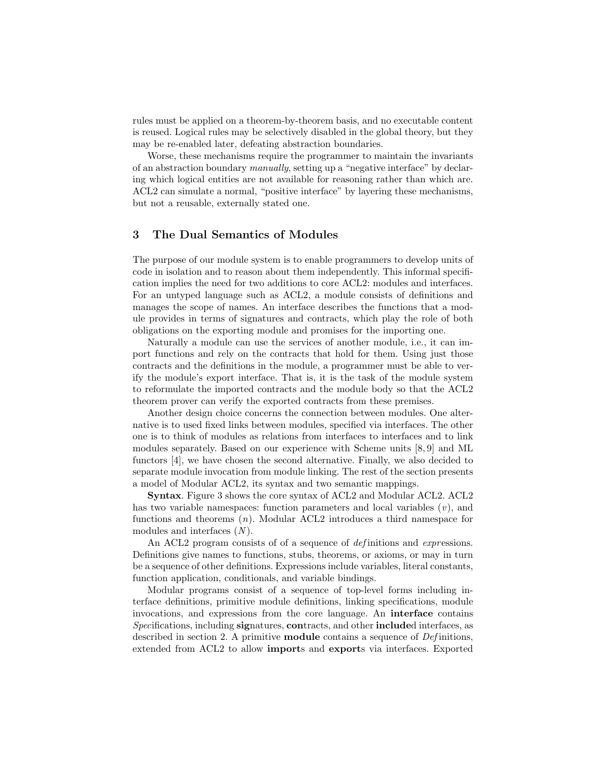rules must be applied on a theorem-by-theorem basis, and no executable content is reused. Logical rules may be selectively disabled in the global theory, but they may be re-enabled later, defeating abstraction boundaries.

Worse, these mechanisms require the programmer to maintain the invariants of an abstraction boundary manually, setting up a "negative interface" by declaring which logical entities are not available for reasoning rather than which are. ACL2 can simulate a normal, "positive interface" by layering these mechanisms, but not a reusable, externally stated one.

### 3 The Dual Semantics of Modules

The purpose of our module system is to enable programmers to develop units of code in isolation and to reason about them independently. This informal specification implies the need for two additions to core ACL2: modules and interfaces. For an untyped language such as ACL2, a module consists of definitions and manages the scope of names. An interface describes the functions that a module provides in terms of signatures and contracts, which play the role of both obligations on the exporting module and promises for the importing one.

Naturally a module can use the services of another module, i.e., it can import functions and rely on the contracts that hold for them. Using just those contracts and the definitions in the module, a programmer must be able to verify the module's export interface. That is, it is the task of the module system to reformulate the imported contracts and the module body so that the ACL2 theorem prover can verify the exported contracts from these premises.

Another design choice concerns the connection between modules. One alternative is to used fixed links between modules, specified via interfaces. The other one is to think of modules as relations from interfaces to interfaces and to link modules separately. Based on our experience with Scheme units [8, 9] and ML functors [4], we have chosen the second alternative. Finally, we also decided to separate module invocation from module linking. The rest of the section presents a model of Modular ACL2, its syntax and two semantic mappings.

Syntax. Figure 3 shows the core syntax of ACL2 and Modular ACL2. ACL2 has two variable namespaces: function parameters and local variables  $(v)$ , and functions and theorems  $(n)$ . Modular ACL2 introduces a third namespace for modules and interfaces  $(N)$ .

An ACL2 program consists of of a sequence of *def* initions and *expressions*. Definitions give names to functions, stubs, theorems, or axioms, or may in turn be a sequence of other definitions. Expressions include variables, literal constants, function application, conditionals, and variable bindings.

Modular programs consist of a sequence of top-level forms including interface definitions, primitive module definitions, linking specifications, module invocations, and expressions from the core language. An interface contains Specifications, including signatures, contracts, and other included interfaces, as described in section 2. A primitive **module** contains a sequence of  $Def$  initions, extended from ACL2 to allow imports and exports via interfaces. Exported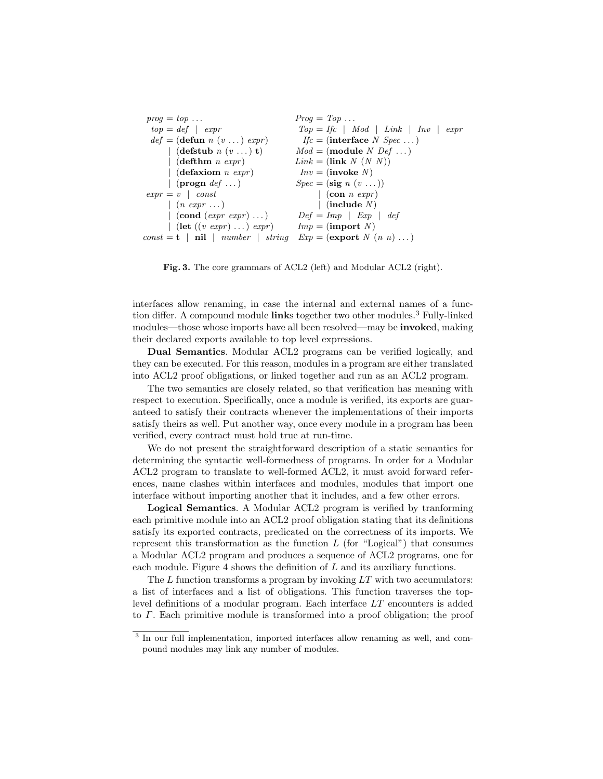```
prog = top \dotstop = def | exprdef = (\text{defun } n (v ...) \text{ } expr)(defstubn (v \ldots)t)
        (\text{defthm } n \text{ } \text{expr})(\text{defixiom } n \text{ } \text{expr})| (progn def \dots)
expr = v \mid const\mid (n \text{ expr} \dots)\vert (cond (expr expr) \ldots)
      | (let ((v \; expr) \dots) \; expr)const = t | nil | number | string
                                           Prog = Top \dotsTop = Ifc \mid Mod \mid Link \mid Inv \mid exprIf c = (interface N \ Spec \dots)Mod = (module \ N \ Def \dots)Link = (link N (N N))Inv = (invoke N)Spec = (sig n (v ...))\vert (con n expr)
                                                 | (include N)
                                           Def = Imp \mid Exp \mid defImp = (import N)Exp = (export N (n n) ...)
```
Fig. 3. The core grammars of ACL2 (left) and Modular ACL2 (right).

interfaces allow renaming, in case the internal and external names of a function differ. A compound module links together two other modules.<sup>3</sup> Fully-linked modules—those whose imports have all been resolved—may be **invoked**, making their declared exports available to top level expressions.

Dual Semantics. Modular ACL2 programs can be verified logically, and they can be executed. For this reason, modules in a program are either translated into ACL2 proof obligations, or linked together and run as an ACL2 program.

The two semantics are closely related, so that verification has meaning with respect to execution. Specifically, once a module is verified, its exports are guaranteed to satisfy their contracts whenever the implementations of their imports satisfy theirs as well. Put another way, once every module in a program has been verified, every contract must hold true at run-time.

We do not present the straightforward description of a static semantics for determining the syntactic well-formedness of programs. In order for a Modular ACL2 program to translate to well-formed ACL2, it must avoid forward references, name clashes within interfaces and modules, modules that import one interface without importing another that it includes, and a few other errors.

Logical Semantics. A Modular ACL2 program is verified by tranforming each primitive module into an ACL2 proof obligation stating that its definitions satisfy its exported contracts, predicated on the correctness of its imports. We represent this transformation as the function  $L$  (for "Logical") that consumes a Modular ACL2 program and produces a sequence of ACL2 programs, one for each module. Figure 4 shows the definition of  $L$  and its auxiliary functions.

The  $L$  function transforms a program by invoking  $LT$  with two accumulators: a list of interfaces and a list of obligations. This function traverses the toplevel definitions of a modular program. Each interface LT encounters is added to Γ. Each primitive module is transformed into a proof obligation; the proof

<sup>&</sup>lt;sup>3</sup> In our full implementation, imported interfaces allow renaming as well, and compound modules may link any number of modules.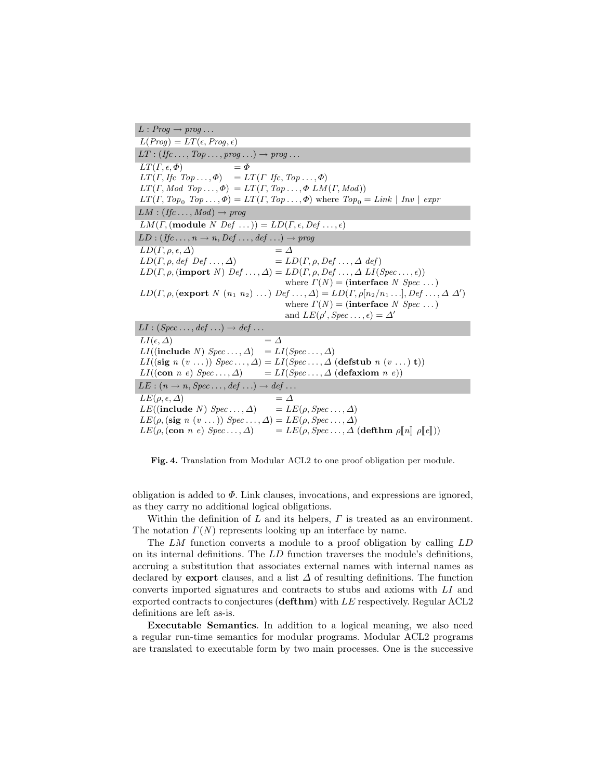$L: Prog \rightarrow prog \dots$  $L(Prog) = LT(\epsilon,Prog,\epsilon)$  $LT : (If c \ldots, Top \ldots, prog \ldots) \rightarrow prog \ldots$  $LT(\Gamma, \epsilon, \Phi)$  =  $\Phi$  $LT(\Gamma, I\mathit{fc} \, Top \ldots, \Phi) = LT(\Gamma \, If \mathit{c} \, Top \ldots, \Phi)$  $LT(\Gamma, Mod~Top...,\Phi) = LT(\Gamma, Top...,\Phi~LM(\Gamma, Mod))$  $LT(\Gamma, Top_0, Top \ldots, \Phi) = LT(\Gamma, Top \ldots, \Phi)$  where  $Top_0 = Link \mid Inv \mid expr$  $LM : (If c \ldots, Mod) \rightarrow prog$  $LM(\Gamma, (module \ N \ Def ...)) = LD(\Gamma, \epsilon, Def ... , \epsilon)$  $LD: (If c \ldots, n \rightarrow n, Def \ldots, def \ldots) \rightarrow prog$  $LD(\Gamma, \rho, \epsilon, \Delta)$  =  $\Delta$  $LD(\Gamma, \rho, \text{def} \text{Def} \ldots, \Delta)$  =  $LD(\Gamma, \rho, \text{Def} \ldots, \Delta \text{ def})$  $LD(\Gamma, \rho, ($ import  $N)$   $Def \ldots, \Delta) = LD(\Gamma, \rho, Def \ldots, \Delta LI(Spec \ldots, \epsilon))$ where  $\Gamma(N) =$  (interface N Spec ...)  $LD(\Gamma, \rho, \text{(export } N \text{ } (n_1 \text{ } n_2) \text{ } \dots) \text{ } Def \dots, \Delta) = LD(\Gamma, \rho[n_2/n_1 \dots], Def \dots, \Delta \Delta')$ where  $\Gamma(N) =$  (interface N Spec ...) and  $LE(\rho', Spec \dots, \epsilon) = \Delta'$  $LI:(Spec\ldots, def \ldots) \rightarrow def \ldots$  $LI(\epsilon, \Delta)$  =  $\Delta$ LI((include N)  $Spec \ldots, \Delta) = LI(Spec \ldots, \Delta)$ LI((sig n  $(v \dots)$ ) Spec  $\dots, \Delta$ ) = LI(Spec  $\dots, \Delta$  (defstub n  $(v \dots)$  t)) LI((con n e)  $Spec \dots, \Delta$ ) = LI(Spec ...,  $\Delta$  (defaxiom n e))  $LE : (n \rightarrow n, Spec \dots, def \dots) \rightarrow def \dots$  $LE(\rho, \epsilon, \Delta)$  =  $\Delta$  $LE((\text{include } N) \text{ Spec} \dots, \Delta) = LE(\rho, Spec \dots, \Delta)$  $LE(\rho, (\text{sig } n \ (v \dots)) \text{ Spec} \dots, \Delta) = LE(\rho, \text{Spec} \dots, \Delta)$  $LE(\rho, (\textbf{con } n \ e) \ Spec \dots, \Delta) = LE(\rho, Spec \dots, \Delta (\textbf{defthm } \rho \| n \| \rho \| e \|))$ 

Fig. 4. Translation from Modular ACL2 to one proof obligation per module.

obligation is added to  $\Phi$ . Link clauses, invocations, and expressions are ignored, as they carry no additional logical obligations.

Within the definition of L and its helpers,  $\Gamma$  is treated as an environment. The notation  $\Gamma(N)$  represents looking up an interface by name.

The LM function converts a module to a proof obligation by calling LD on its internal definitions. The LD function traverses the module's definitions, accruing a substitution that associates external names with internal names as declared by **export** clauses, and a list  $\Delta$  of resulting definitions. The function converts imported signatures and contracts to stubs and axioms with LI and exported contracts to conjectures (defthm) with LE respectively. Regular ACL2 definitions are left as-is.

Executable Semantics. In addition to a logical meaning, we also need a regular run-time semantics for modular programs. Modular ACL2 programs are translated to executable form by two main processes. One is the successive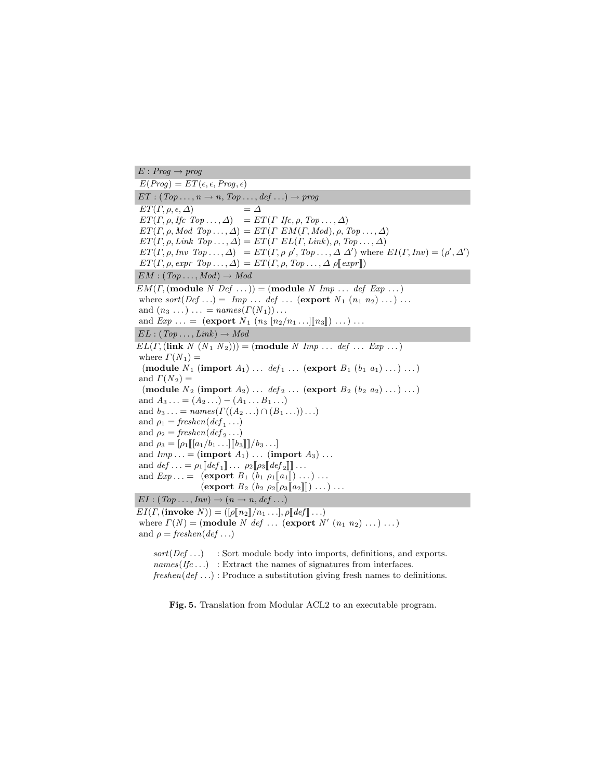$E : Prog \rightarrow prog$  $E(Prog) = ET(\epsilon, \epsilon,Prog, \epsilon)$  $ET : (Top \ldots, n \rightarrow n, Top \ldots, def \ldots) \rightarrow prog$  $ET(\Gamma, \rho, \epsilon, \Delta)$  =  $\Delta$  $ET(\Gamma, \rho, I\!f\!c \, Top \ldots, \Delta) = ET(\Gamma \, I\!f\!c, \rho, Top \ldots, \Delta)$  $ET(\Gamma, \rho, Mod \; Top \ldots, \Delta) = ET(\Gamma \; EM(\Gamma, Mod), \rho, Top \ldots, \Delta)$  $ET(\Gamma, \rho, Link \; Top \ldots, \Delta) = ET(\Gamma \; EL(\Gamma, Link), \rho, Top \ldots, \Delta)$  $ET(\Gamma, \rho, Inv \; Top \ldots, \Delta) = ET(\Gamma, \rho \; \rho', Top \ldots, \Delta \; \Delta')$  where  $EI(\Gamma, Inv) = (\rho', \Delta')$  $ET(\Gamma, \rho, \text{expr} \, \text{Top} \ldots, \Delta) = ET(\Gamma, \rho, \text{Top} \ldots, \Delta \, \rho \llbracket \text{expr} \rrbracket)$  $EM : (Top \ldots, Mod) \rightarrow Mod$  $EM(\Gamma, (module \ N \ Def ...)) = (module \ N \ Imp ... \ def Exp ...)$ where  $sort(Def...)=Imp... def...$  (export  $N_1$   $(n_1 n_2)...)...$ and  $(n_3 \dots) \dots = \textit{names}(\Gamma(N_1)) \dots$ and  $Exp ... = (export N_1 (n_3 [n_2/n_1 ... || n_3]]) ... ) ...$  $EL:(Top...,Link)\rightarrow Mod$  $EL(\Gamma, (\text{link } N \ (N_1 \ N_2))) = (\text{module } N \ Imp \ \dots \ def \ \dots \ Exp \ \dots)$ where  $\Gamma(N_1) =$ (module  $N_1$  (import  $A_1$ ) ...  $def_1$  ... (export  $B_1$   $(b_1 \ a_1)$  ...) ...) and  $\Gamma(N_2) =$ (module  $N_2$  (import  $A_2$ ) ...  $def_2$  ... (export  $B_2$   $(b_2 a_2)$  ...) ...) and  $A_3 \dots = (A_2 \dots) - (A_1 \dots B_1 \dots)$ and  $b_3 ... = names(\Gamma((A_2 ...) \cap (B_1 ...)) ...)$ and  $\rho_1 = \text{freshen}(\text{def}_1 \ldots)$ and  $\rho_2 = \text{freshen}(\text{def}_2 \ldots)$ and  $\rho_3 = [\rho_1[[a_1/b_1 \dots [[b_3]]]/b_3 \dots]$ and  $Imp... = (import A<sub>1</sub>) ... (import A<sub>3</sub>) ...$ and  $def \dots = \rho_1[[def_1] \dots \rho_2[[\rho_3[[def_2]] \dots]$ and  $Exp \ldots = (\text{export } B_1 (b_1 \rho_1[[a_1]]) \ldots) \ldots)$  $(\textbf{export } B_2 \ (b_2 \ \rho_2 \llbracket \rho_3 \llbracket a_2 \rrbracket \rrbracket) \ \dots) \ \dots$  $EI:(Top\ldots,Inv)\rightarrow (n\rightarrow n, def \ldots)$  $EI(\Gamma, (invoke N)) = (\rho [\![ n_2 ]\!]/n_1 \ldots ], \rho [\![ def ]\!]\ldots )$ where  $\Gamma(N) = (\text{module } N \text{ def } \dots \text{ (expert } N' \text{ (}n_1 \text{ } n_2) \dots) \dots)$ and  $\rho = \text{freshen}(\text{def} \dots)$  $sort(Def...)$  : Sort module body into imports, definitions, and exports.  $names(If c...):$  Extract the names of signatures from interfaces.

 $freshen(def \ldots)$ : Produce a substitution giving fresh names to definitions.

Fig. 5. Translation from Modular ACL2 to an executable program.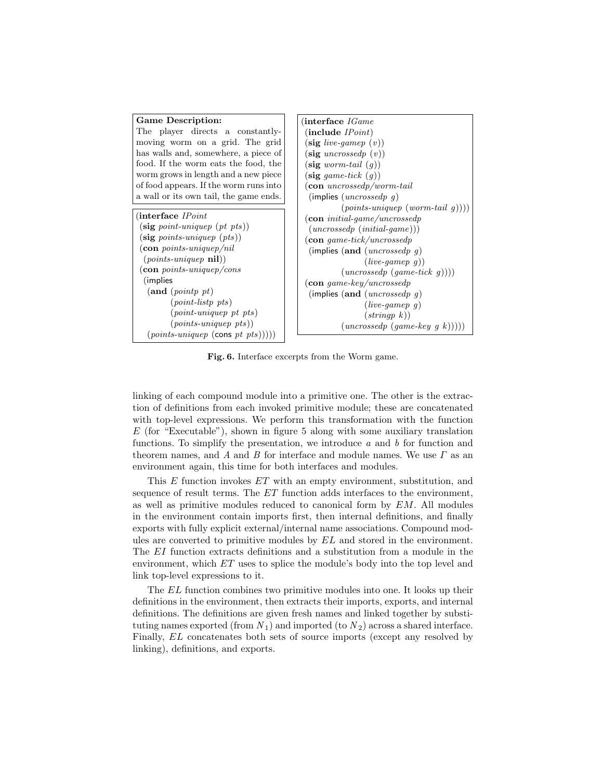

Fig. 6. Interface excerpts from the Worm game.

linking of each compound module into a primitive one. The other is the extraction of definitions from each invoked primitive module; these are concatenated with top-level expressions. We perform this transformation with the function  $E$  (for "Executable"), shown in figure 5 along with some auxiliary translation functions. To simplify the presentation, we introduce  $a$  and  $b$  for function and theorem names, and A and B for interface and module names. We use  $\Gamma$  as an environment again, this time for both interfaces and modules.

This E function invokes ET with an empty environment, substitution, and sequence of result terms. The ET function adds interfaces to the environment, as well as primitive modules reduced to canonical form by EM. All modules in the environment contain imports first, then internal definitions, and finally exports with fully explicit external/internal name associations. Compound modules are converted to primitive modules by EL and stored in the environment. The EI function extracts definitions and a substitution from a module in the environment, which ET uses to splice the module's body into the top level and link top-level expressions to it.

The EL function combines two primitive modules into one. It looks up their definitions in the environment, then extracts their imports, exports, and internal definitions. The definitions are given fresh names and linked together by substituting names exported (from  $N_1$ ) and imported (to  $N_2$ ) across a shared interface. Finally, EL concatenates both sets of source imports (except any resolved by linking), definitions, and exports.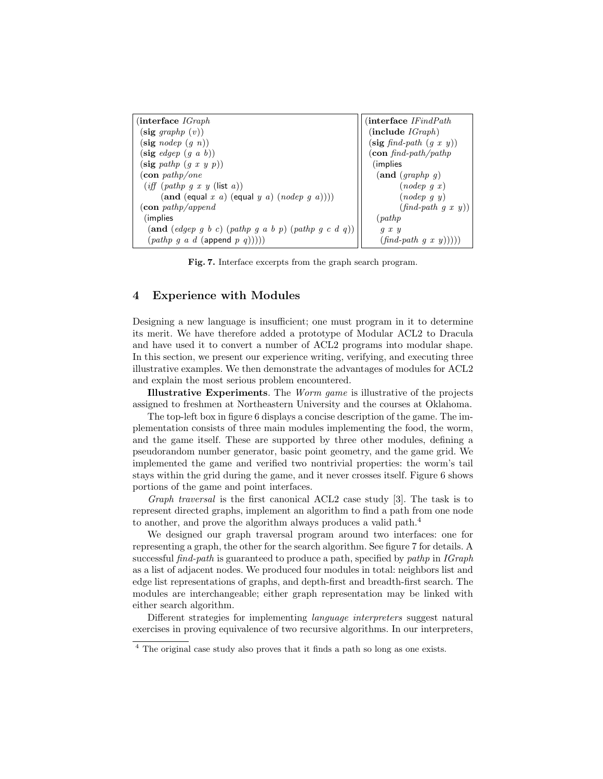| $(interface \,\,IGraph)$                                    | $(int \textbf{erface} \; IFindPath)$          |
|-------------------------------------------------------------|-----------------------------------------------|
| $(\text{sig } graphp (v))$                                  | (include~IGraph)                              |
| $(\text{sig } nodep \ (g \ n))$                             | $(\text{sig } \text{find-path } (g x y))$     |
| $(\text{sig } edgep (g a b))$                               | $(\textbf{con}~\text{find-path}/\text{path})$ |
| $(\text{sig pathp } (g x y p))$                             | (implies)                                     |
| $(\textbf{con } pathp/one)$                                 | (and (graphp q)                               |
| (if (pathp g x y (list a)))                                 | $(nodep\ q\ x)$                               |
| $(\text{and } (equal x a) (equal y a) (node p g a))))$      | $(nodep\ q\ y)$                               |
| $(\textbf{con } pathp/append)$                              | $(find-path g x y))$                          |
| (implies                                                    | $(\text{pathp})$                              |
| $($ and $(edge p g b c) (path p g a b p) (path p g c d q))$ | q x y                                         |
| $(pathp \ g \ a \ d \ (append \ p \ q))))$                  | $(\text{find-path } g \ x \ y))))$            |

Fig. 7. Interface excerpts from the graph search program.

### 4 Experience with Modules

Designing a new language is insufficient; one must program in it to determine its merit. We have therefore added a prototype of Modular ACL2 to Dracula and have used it to convert a number of ACL2 programs into modular shape. In this section, we present our experience writing, verifying, and executing three illustrative examples. We then demonstrate the advantages of modules for ACL2 and explain the most serious problem encountered.

Illustrative Experiments. The Worm game is illustrative of the projects assigned to freshmen at Northeastern University and the courses at Oklahoma.

The top-left box in figure 6 displays a concise description of the game. The implementation consists of three main modules implementing the food, the worm, and the game itself. These are supported by three other modules, defining a pseudorandom number generator, basic point geometry, and the game grid. We implemented the game and verified two nontrivial properties: the worm's tail stays within the grid during the game, and it never crosses itself. Figure 6 shows portions of the game and point interfaces.

Graph traversal is the first canonical ACL2 case study [3]. The task is to represent directed graphs, implement an algorithm to find a path from one node to another, and prove the algorithm always produces a valid path.<sup>4</sup>

We designed our graph traversal program around two interfaces: one for representing a graph, the other for the search algorithm. See figure 7 for details. A successful find-path is guaranteed to produce a path, specified by pathp in IGraph as a list of adjacent nodes. We produced four modules in total: neighbors list and edge list representations of graphs, and depth-first and breadth-first search. The modules are interchangeable; either graph representation may be linked with either search algorithm.

Different strategies for implementing language interpreters suggest natural exercises in proving equivalence of two recursive algorithms. In our interpreters,

<sup>4</sup> The original case study also proves that it finds a path so long as one exists.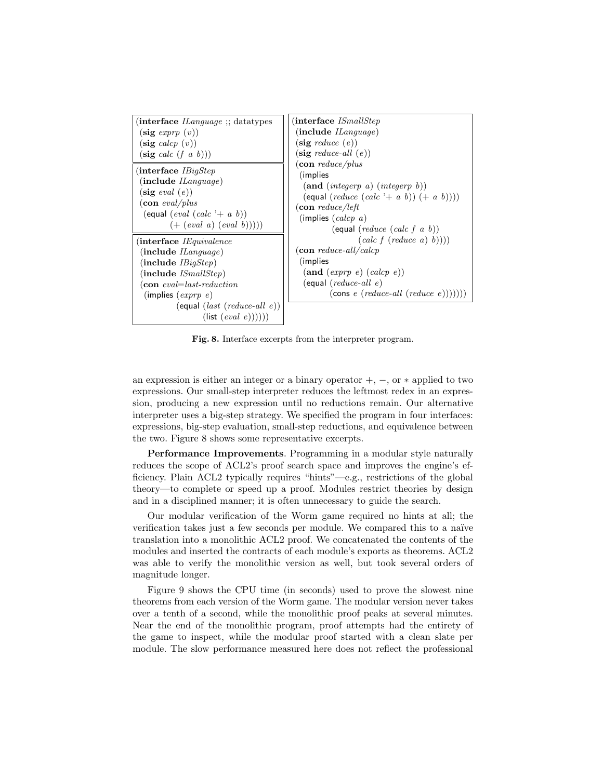| (interface <i>ILanguage</i> ;; datatypes<br>$(\text{sig } \text{expr}(v))$<br>$(\text{sig } \text{calcp } (v))$<br>$(\text{sig } calc (f a b)))$<br>$($ interface $IBigStep$<br>(include~II.000)<br>$(\text{sig } eval (e))$<br>$(\textbf{con} \textit{eval}/\textit{plus})$<br>(equal ( <i>eval</i> ( <i>calc</i> $\rightarrow a$ <i>b</i> ))<br>$(+ (eval a) (eval b))))$ | (interface <i>ISmallStep</i> )<br>(include <i>ILanguage</i> )<br>$(\text{sig reduce } (e))$<br>$(\text{sig reduce-}all (e))$<br>$(\mathbf{con}\,\,reduce/plus$<br>(implies)<br>(and (integerp a) (integerp b))<br>(equal (reduce $\left(\text{calc } '+\text{ a } b\right)$ ) $(+ \text{ a } b))$ )<br>$\frac{1}{\text{con} \text{reduce}}$<br>(implies $(calc p \ a)$ )<br>$\left(\text{equal}~(\text{reduce}~(\text{calc}~f~a~b)\right)$ |
|-----------------------------------------------------------------------------------------------------------------------------------------------------------------------------------------------------------------------------------------------------------------------------------------------------------------------------------------------------------------------------|--------------------------------------------------------------------------------------------------------------------------------------------------------------------------------------------------------------------------------------------------------------------------------------------------------------------------------------------------------------------------------------------------------------------------------------------|
| <i>(interface IEquivalence)</i><br>(include~II.000)<br>(include $IBigStep$ )<br>$(\textbf{include}~\mathit{ISmallStep})$<br>$\mathbf{con}\ \mathit{eval} = \mathit{last-reduction}$<br>(implies (expr p e)<br>$(equal (last (reduce-all e))$<br>(list (eval e))))                                                                                                           | (calc f (reduce a) b)))<br>$con reduce-all/calcp$<br>(implies)<br>(and (expr p e) (calcp e))<br>$(equal (reduce-all e)$<br>$\left(\text{cons } e \text{ } (\text{reduce-all } (\text{reduce } e))))\right)$                                                                                                                                                                                                                                |

Fig. 8. Interface excerpts from the interpreter program.

an expression is either an integer or a binary operator  $+$ ,  $-$ , or  $*$  applied to two expressions. Our small-step interpreter reduces the leftmost redex in an expression, producing a new expression until no reductions remain. Our alternative interpreter uses a big-step strategy. We specified the program in four interfaces: expressions, big-step evaluation, small-step reductions, and equivalence between the two. Figure 8 shows some representative excerpts.

Performance Improvements. Programming in a modular style naturally reduces the scope of ACL2's proof search space and improves the engine's efficiency. Plain ACL2 typically requires "hints"—e.g., restrictions of the global theory—to complete or speed up a proof. Modules restrict theories by design and in a disciplined manner; it is often unnecessary to guide the search.

Our modular verification of the Worm game required no hints at all; the verification takes just a few seconds per module. We compared this to a naïve translation into a monolithic ACL2 proof. We concatenated the contents of the modules and inserted the contracts of each module's exports as theorems. ACL2 was able to verify the monolithic version as well, but took several orders of magnitude longer.

Figure 9 shows the CPU time (in seconds) used to prove the slowest nine theorems from each version of the Worm game. The modular version never takes over a tenth of a second, while the monolithic proof peaks at several minutes. Near the end of the monolithic program, proof attempts had the entirety of the game to inspect, while the modular proof started with a clean slate per module. The slow performance measured here does not reflect the professional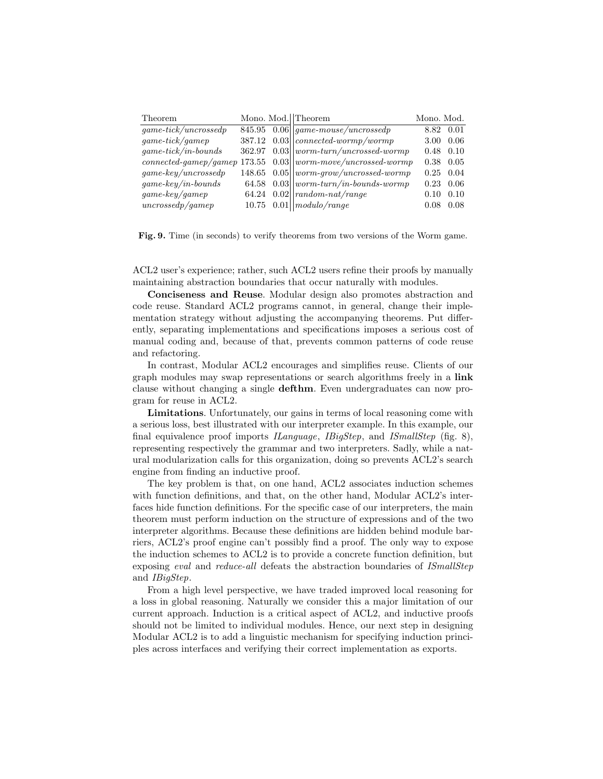| Theorem                       |  | Mono. Mod. Theorem                                                                  | Mono. Mod. |             |
|-------------------------------|--|-------------------------------------------------------------------------------------|------------|-------------|
| $game\text{-}tick/uncrossedp$ |  | $845.95 \quad 0.06 \vert \vert game\text{-}mouse/uncrossedp$                        |            | 8.82 0.01   |
| $game\text{-}tick/gamep$      |  | $387.12 \quad 0.03$   connected-wormp/wormp                                         | 3.00       | 0.06        |
| $game\text{-}tick/in-bounds$  |  | $362.97 \quad 0.03 \vert \vert$ worm-turn/uncrossed-wormp                           |            | $0.48$ 0.10 |
|                               |  | $connected\text{-}gamep/gamep\text{ }173.55\text{ }0.03  worm-move/uncrossed-wormp$ |            | $0.38$ 0.05 |
| $game\text{-}key/uncrossedp$  |  | $148.65 \quad 0.05$   worm-grow/uncrossed-wormp                                     |            | $0.25$ 0.04 |
| $game-key/in-bounds$          |  | $64.58 \quad 0.03 \vert \vert worm\text{-}turn/in\text{-}bounds\text{-}wormp$       | 0.23       | 0.06        |
| $game\text{-}key/gamep$       |  | $64.24 \quad 0.02 \vert \vert random \cdot nat / range$                             | 0.10       | 0.10        |
| uncrossedp/gamep              |  | $10.75 \quad 0.01 \vert \vert modulo/range$                                         | 0.08       | 0.08        |

Fig. 9. Time (in seconds) to verify theorems from two versions of the Worm game.

ACL2 user's experience; rather, such ACL2 users refine their proofs by manually maintaining abstraction boundaries that occur naturally with modules.

Conciseness and Reuse. Modular design also promotes abstraction and code reuse. Standard ACL2 programs cannot, in general, change their implementation strategy without adjusting the accompanying theorems. Put differently, separating implementations and specifications imposes a serious cost of manual coding and, because of that, prevents common patterns of code reuse and refactoring.

In contrast, Modular ACL2 encourages and simplifies reuse. Clients of our graph modules may swap representations or search algorithms freely in a link clause without changing a single defthm. Even undergraduates can now program for reuse in ACL2.

Limitations. Unfortunately, our gains in terms of local reasoning come with a serious loss, best illustrated with our interpreter example. In this example, our final equivalence proof imports *ILanguage*, *IBigStep*, and *ISmallStep* (fig. 8), representing respectively the grammar and two interpreters. Sadly, while a natural modularization calls for this organization, doing so prevents ACL2's search engine from finding an inductive proof.

The key problem is that, on one hand, ACL2 associates induction schemes with function definitions, and that, on the other hand, Modular ACL2's interfaces hide function definitions. For the specific case of our interpreters, the main theorem must perform induction on the structure of expressions and of the two interpreter algorithms. Because these definitions are hidden behind module barriers, ACL2's proof engine can't possibly find a proof. The only way to expose the induction schemes to ACL2 is to provide a concrete function definition, but exposing eval and reduce-all defeats the abstraction boundaries of ISmallStep and IBigStep.

From a high level perspective, we have traded improved local reasoning for a loss in global reasoning. Naturally we consider this a major limitation of our current approach. Induction is a critical aspect of ACL2, and inductive proofs should not be limited to individual modules. Hence, our next step in designing Modular ACL2 is to add a linguistic mechanism for specifying induction principles across interfaces and verifying their correct implementation as exports.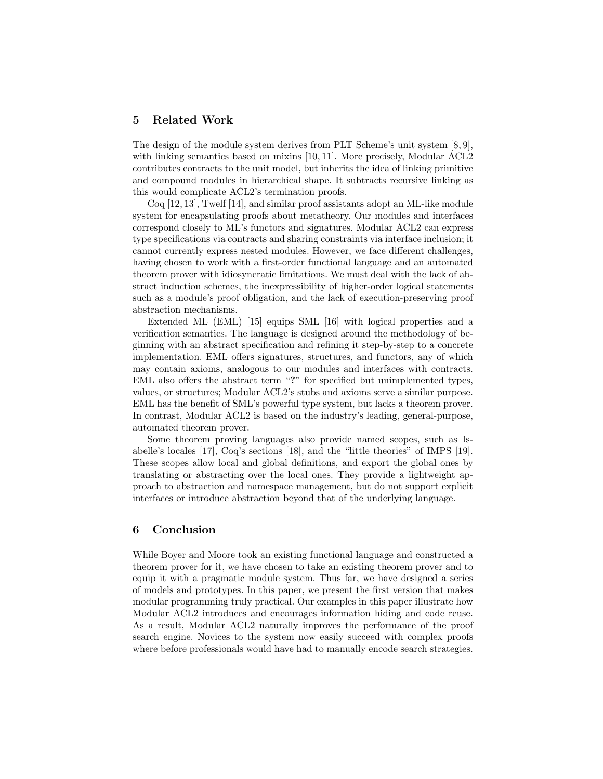### 5 Related Work

The design of the module system derives from PLT Scheme's unit system [8, 9], with linking semantics based on mixins [10, 11]. More precisely, Modular ACL2 contributes contracts to the unit model, but inherits the idea of linking primitive and compound modules in hierarchical shape. It subtracts recursive linking as this would complicate ACL2's termination proofs.

Coq [12, 13], Twelf [14], and similar proof assistants adopt an ML-like module system for encapsulating proofs about metatheory. Our modules and interfaces correspond closely to ML's functors and signatures. Modular ACL2 can express type specifications via contracts and sharing constraints via interface inclusion; it cannot currently express nested modules. However, we face different challenges, having chosen to work with a first-order functional language and an automated theorem prover with idiosyncratic limitations. We must deal with the lack of abstract induction schemes, the inexpressibility of higher-order logical statements such as a module's proof obligation, and the lack of execution-preserving proof abstraction mechanisms.

Extended ML (EML) [15] equips SML [16] with logical properties and a verification semantics. The language is designed around the methodology of beginning with an abstract specification and refining it step-by-step to a concrete implementation. EML offers signatures, structures, and functors, any of which may contain axioms, analogous to our modules and interfaces with contracts. EML also offers the abstract term "?" for specified but unimplemented types, values, or structures; Modular ACL2's stubs and axioms serve a similar purpose. EML has the benefit of SML's powerful type system, but lacks a theorem prover. In contrast, Modular ACL2 is based on the industry's leading, general-purpose, automated theorem prover.

Some theorem proving languages also provide named scopes, such as Isabelle's locales [17], Coq's sections [18], and the "little theories" of IMPS [19]. These scopes allow local and global definitions, and export the global ones by translating or abstracting over the local ones. They provide a lightweight approach to abstraction and namespace management, but do not support explicit interfaces or introduce abstraction beyond that of the underlying language.

## 6 Conclusion

While Boyer and Moore took an existing functional language and constructed a theorem prover for it, we have chosen to take an existing theorem prover and to equip it with a pragmatic module system. Thus far, we have designed a series of models and prototypes. In this paper, we present the first version that makes modular programming truly practical. Our examples in this paper illustrate how Modular ACL2 introduces and encourages information hiding and code reuse. As a result, Modular ACL2 naturally improves the performance of the proof search engine. Novices to the system now easily succeed with complex proofs where before professionals would have had to manually encode search strategies.